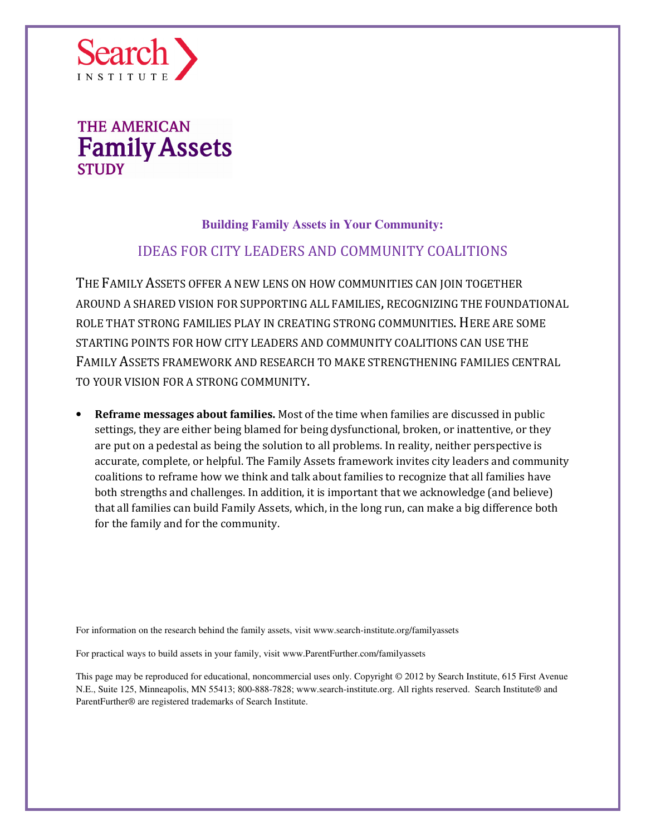

### **Building Family Assets in Your Community:**

### IDEAS FOR CITY LEADERS AND COMMUNITY COALITIONS

THE FAMILY ASSETS OFFER A NEW LENS ON HOW COMMUNITIES CAN JOIN TOGETHER AROUND A SHARED VISION FOR SUPPORTING ALL FAMILIES, RECOGNIZING THE FOUNDATIONAL ROLE THAT STRONG FAMILIES PLAY IN CREATING STRONG COMMUNITIES. HERE ARE SOME STARTING POINTS FOR HOW CITY LEADERS AND COMMUNITY COALITIONS CAN USE THE FAMILY ASSETS FRAMEWORK AND RESEARCH TO MAKE STRENGTHENING FAMILIES CENTRAL TO YOUR VISION FOR A STRONG COMMUNITY.

• Reframe messages about families. Most of the time when families are discussed in public settings, they are either being blamed for being dysfunctional, broken, or inattentive, or they are put on a pedestal as being the solution to all problems. In reality, neither perspective is accurate, complete, or helpful. The Family Assets framework invites city leaders and community coalitions to reframe how we think and talk about families to recognize that all families have both strengths and challenges. In addition, it is important that we acknowledge (and believe) that all families can build Family Assets, which, in the long run, can make a big difference both for the family and for the community.

For information on the research behind the family assets, visit www.search-institute.org/familyassets

For practical ways to build assets in your family, visit www.ParentFurther.com/familyassets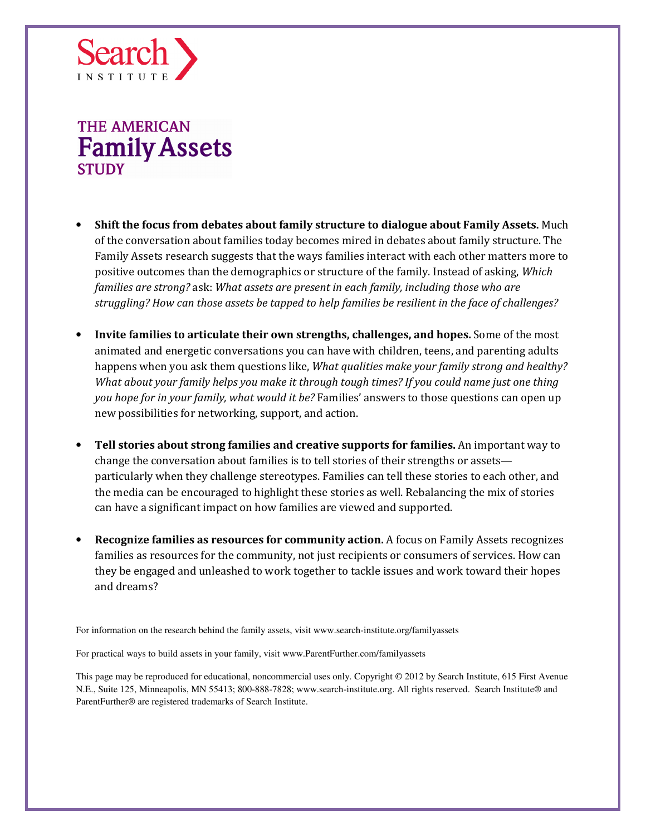

- Shift the focus from debates about family structure to dialogue about Family Assets. Much of the conversation about families today becomes mired in debates about family structure. The Family Assets research suggests that the ways families interact with each other matters more to positive outcomes than the demographics or structure of the family. Instead of asking, Which families are strong? ask: What assets are present in each family, including those who are struggling? How can those assets be tapped to help families be resilient in the face of challenges?
- Invite families to articulate their own strengths, challenges, and hopes. Some of the most animated and energetic conversations you can have with children, teens, and parenting adults happens when you ask them questions like, What qualities make your family strong and healthy? What about your family helps you make it through tough times? If you could name just one thing you hope for in your family, what would it be? Families' answers to those questions can open up new possibilities for networking, support, and action.
- Tell stories about strong families and creative supports for families. An important way to change the conversation about families is to tell stories of their strengths or assets particularly when they challenge stereotypes. Families can tell these stories to each other, and the media can be encouraged to highlight these stories as well. Rebalancing the mix of stories can have a significant impact on how families are viewed and supported.
- Recognize families as resources for community action. A focus on Family Assets recognizes families as resources for the community, not just recipients or consumers of services. How can they be engaged and unleashed to work together to tackle issues and work toward their hopes and dreams?

For information on the research behind the family assets, visit www.search-institute.org/familyassets

For practical ways to build assets in your family, visit www.ParentFurther.com/familyassets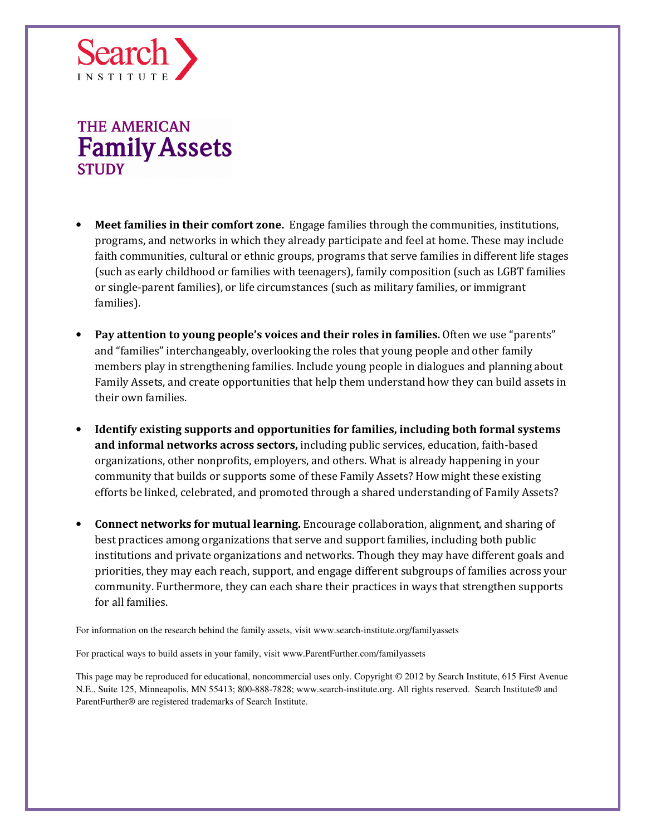

- **Meet families in their comfort zone.** Engage families through the communities, institutions, programs, and networks in which they already participate and feel at home. These may include faith communities, cultural or ethnic groups, programs that serve families in different life stages (such as early childhood or families with teenagers), family composition (such as LGBT families or single-parent families), or life circumstances (such as military families, or immigrant families).
- Pay attention to young people's voices and their roles in families. Often we use "parents" and "families" interchangeably, overlooking the roles that young people and other family members play in strengthening families. Include young people in dialogues and planning about Family Assets, and create opportunities that help them understand how they can build assets in their own families.
- Identify existing supports and opportunities for families, including both formal systems and informal networks across sectors, including public services, education, faith-based organizations, other nonprofits, employers, and others. What is already happening in your community that builds or supports some of these Family Assets? How might these existing efforts be linked, celebrated, and promoted through a shared understanding of Family Assets?
- Connect networks for mutual learning. Encourage collaboration, alignment, and sharing of best practices among organizations that serve and support families, including both public institutions and private organizations and networks. Though they may have different goals and priorities, they may each reach, support, and engage different subgroups of families across your community. Furthermore, they can each share their practices in ways that strengthen supports for all families.

For information on the research behind the family assets, visit www.search-institute.org/familyassets

For practical ways to build assets in your family, visit www.ParentFurther.com/familyassets